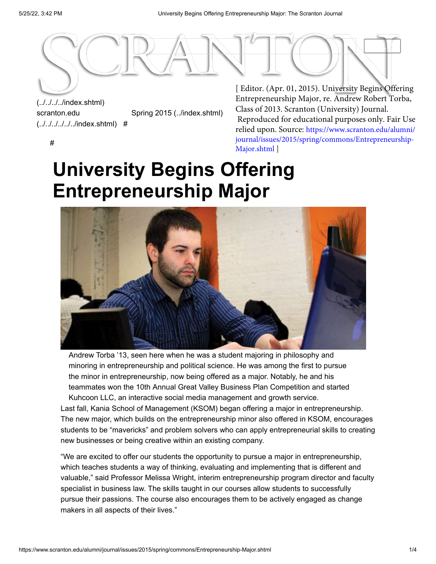

# (../../../../index.shtml) scranton.edu [\(../../../../../../index.shtml\)](https://www.scranton.edu/index.shtml)

[Spring 2015 \(../index.shtml\)](https://www.scranton.edu/alumni/journal/issues/2015/spring/index.shtml)

Entrepreneurship Major, re. Andrew Robert Torba, Class of 2013. Scranton (University) Journal. Reproduced for educational purposes only. Fair Use relied upon. Source: https://www.scranton.edu/alumni/ [journal/issues/2015/spring/commons/Entrepreneurship-](https://www.scranton.edu/alumni/journal/issues/2015/spring/commons/Entrepreneurship-Major.shtml)Major.shtml ]

#

# **University Begins Offering Entrepreneurship Major**



Andrew Torba '13, seen here when he was a student majoring in philosophy and minoring in entrepreneurship and political science. He was among the first to pursue the minor in entrepreneurship, now being offered as a major. Notably, he and his teammates won the 10th Annual Great Valley Business Plan Competition and started Kuhcoon LLC, an interactive social media management and growth service.

Last fall, Kania School of Management (KSOM) began offering a major in entrepreneurship. The new major, which builds on the entrepreneurship minor also offered in KSOM, encourages students to be "mavericks" and problem solvers who can apply entrepreneurial skills to creating new businesses or being creative within an existing company.

"We are excited to offer our students the opportunity to pursue a major in entrepreneurship, which teaches students a way of thinking, evaluating and implementing that is different and valuable," said Professor Melissa Wright, interim entrepreneurship program director and faculty specialist in business law. The skills taught in our courses allow students to successfully pursue their passions. The course also encourages them to be actively engaged as change makers in all aspects of their lives."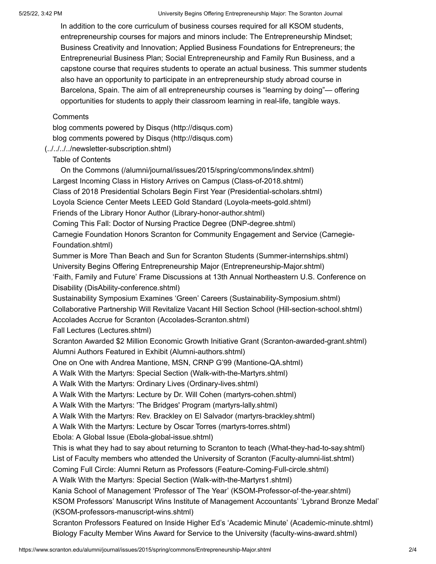In addition to the core curriculum of business courses required for all KSOM students, entrepreneurship courses for majors and minors include: The Entrepreneurship Mindset; Business Creativity and Innovation; Applied Business Foundations for Entrepreneurs; the Entrepreneurial Business Plan; Social Entrepreneurship and Family Run Business, and a capstone course that requires students to operate an actual business. This summer students also have an opportunity to participate in an entrepreneurship study abroad course in Barcelona, Spain. The aim of all entrepreneurship courses is "learning by doing"— offering opportunities for students to apply their classroom learning in real-life, tangible ways.

#### **Comments**

[blog comments powered by Disqus \(http://disqus.com\)](http://disqus.com/) [blog comments powered by Disqus \(http://disqus.com\)](http://disqus.com/)

## [\(../../../../newsletter-subscription.shtml\)](https://www.scranton.edu/alumni/journal/newsletter-subscription.shtml)

#### Table of Contents

[Largest Incoming Class in History Arrives on Campus \(Class-of-2018.shtml\)](https://www.scranton.edu/alumni/journal/issues/2015/spring/commons/Class-of-2018.shtml) [Class of 2018 Presidential Scholars Begin First Year \(Presidential-scholars.shtml\)](https://www.scranton.edu/alumni/journal/issues/2015/spring/commons/Presidential-scholars.shtml) [Loyola Science Center Meets LEED Gold Standard \(Loyola-meets-gold.shtml\)](https://www.scranton.edu/alumni/journal/issues/2015/spring/commons/Loyola-meets-gold.shtml) [Friends of the Library Honor Author \(Library-honor-author.shtml\)](https://www.scranton.edu/alumni/journal/issues/2015/spring/commons/Library-honor-author.shtml) [Coming This Fall: Doctor of Nursing Practice Degree \(DNP-degree.shtml\)](https://www.scranton.edu/alumni/journal/issues/2015/spring/commons/DNP-degree.shtml) [Carnegie Foundation Honors Scranton for Community Engagement and Service \(Carnegie-](https://www.scranton.edu/alumni/journal/issues/2015/spring/commons/Carnegie-Foundation.shtml)Foundation.shtml) [Summer is More Than Beach and Sun for Scranton Students \(Summer-internships.shtml\)](https://www.scranton.edu/alumni/journal/issues/2015/spring/commons/Summer-internships.shtml) [University Begins Offering Entrepreneurship Major \(Entrepreneurship-Major.shtml\)](https://www.scranton.edu/alumni/journal/issues/2015/spring/commons/Entrepreneurship-Major.shtml) ['Faith, Family and Future' Frame Discussions at 13th Annual Northeastern U.S. Conference on](https://www.scranton.edu/alumni/journal/issues/2015/spring/commons/DisAbility-conference.shtml) Disability (DisAbility-conference.shtml) [Sustainability Symposium Examines 'Green' Careers \(Sustainability-Symposium.shtml\)](https://www.scranton.edu/alumni/journal/issues/2015/spring/commons/Sustainability-Symposium.shtml) [Collaborative Partnership Will Revitalize Vacant Hill Section School \(Hill-section-school.shtml\)](https://www.scranton.edu/alumni/journal/issues/2015/spring/commons/Hill-section-school.shtml) [Accolades Accrue for Scranton \(Accolades-Scranton.shtml\)](https://www.scranton.edu/alumni/journal/issues/2015/spring/commons/Accolades-Scranton.shtml) [Fall Lectures \(Lectures.shtml\)](https://www.scranton.edu/alumni/journal/issues/2015/spring/commons/Lectures.shtml) [Scranton Awarded \\$2 Million Economic Growth Initiative Grant \(Scranton-awarded-grant.shtml\)](https://www.scranton.edu/alumni/journal/issues/2015/spring/commons/Scranton-awarded-grant.shtml) [Alumni Authors Featured in Exhibit \(Alumni-authors.shtml\)](https://www.scranton.edu/alumni/journal/issues/2015/spring/commons/Alumni-authors.shtml) [One on One with Andrea Mantione, MSN, CRNP G'99 \(Mantione-QA.shtml\)](https://www.scranton.edu/alumni/journal/issues/2015/spring/commons/Mantione-QA.shtml) [A Walk With the Martyrs: Special Section \(Walk-with-the-Martyrs.shtml\)](https://www.scranton.edu/alumni/journal/issues/2015/spring/commons/Walk-with-the-Martyrs.shtml) [A Walk With the Martyrs: Ordinary Lives \(Ordinary-lives.shtml\)](https://www.scranton.edu/alumni/journal/issues/2015/spring/commons/Ordinary-lives.shtml) [A Walk With the Martyrs: Lecture by Dr. Will Cohen \(martyrs-cohen.shtml\)](https://www.scranton.edu/alumni/journal/issues/2015/spring/commons/martyrs-cohen.shtml) [A Walk With the Martyrs: 'The Bridges' Program \(martyrs-lally.shtml\)](https://www.scranton.edu/alumni/journal/issues/2015/spring/commons/martyrs-lally.shtml) [A Walk With the Martyrs: Rev. Brackley on El Salvador \(martyrs-brackley.shtml\)](https://www.scranton.edu/alumni/journal/issues/2015/spring/commons/martyrs-brackley.shtml) [A Walk With the Martyrs: Lecture by Oscar Torres \(martyrs-torres.shtml\)](https://www.scranton.edu/alumni/journal/issues/2015/spring/commons/martyrs-torres.shtml) [Ebola: A Global Issue \(Ebola-global-issue.shtml\)](https://www.scranton.edu/alumni/journal/issues/2015/spring/commons/Ebola-global-issue.shtml) [This is what they had to say about returning to Scranton to teach \(What-they-had-to-say.shtml\)](https://www.scranton.edu/alumni/journal/issues/2015/spring/commons/What-they-had-to-say.shtml) [List of Faculty members who attended the University of Scranton \(Faculty-alumni-list.shtml\)](https://www.scranton.edu/alumni/journal/issues/2015/spring/commons/Faculty-alumni-list.shtml) [Coming Full Circle: Alumni Return as Professors \(Feature-Coming-Full-circle.shtml\)](https://www.scranton.edu/alumni/journal/issues/2015/spring/commons/Feature-Coming-Full-circle.shtml) [A Walk With the Martyrs: Special Section \(Walk-with-the-Martyrs1.shtml\)](https://www.scranton.edu/alumni/journal/issues/2015/spring/commons/Walk-with-the-Martyrs1.shtml) [Kania School of Management 'Professor of The Year' \(KSOM-Professor-of-the-year.shtml\)](https://www.scranton.edu/alumni/journal/issues/2015/spring/commons/KSOM-Professor-of-the-year.shtml) [KSOM Professors' Manuscript Wins Institute of Management Accountants' 'Lybrand Bronze Medal'](https://www.scranton.edu/alumni/journal/issues/2015/spring/commons/KSOM-professors-manuscript-wins.shtml) (KSOM-professors-manuscript-wins.shtml) [Scranton Professors Featured on Inside Higher Ed's 'Academic Minute' \(Academic-minute.shtml\)](https://www.scranton.edu/alumni/journal/issues/2015/spring/commons/Academic-minute.shtml) [On the Commons \(/alumni/journal/issues/2015/spring/commons/index.shtml\)](https://www.scranton.edu/alumni/journal/issues/2015/spring/commons/index.shtml)

[Biology Faculty Member Wins Award for Service to the University \(faculty-wins-award.shtml\)](https://www.scranton.edu/alumni/journal/issues/2015/spring/commons/faculty-wins-award.shtml)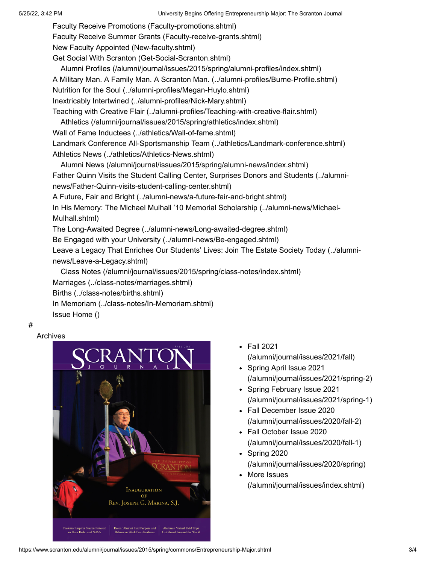[Faculty Receive Promotions \(Faculty-promotions.shtml\)](https://www.scranton.edu/alumni/journal/issues/2015/spring/commons/Faculty-promotions.shtml)

[Faculty Receive Summer Grants \(Faculty-receive-grants.shtml\)](https://www.scranton.edu/alumni/journal/issues/2015/spring/commons/Faculty-receive-grants.shtml)

[New Faculty Appointed \(New-faculty.shtml\)](https://www.scranton.edu/alumni/journal/issues/2015/spring/commons/New-faculty.shtml)

[Get Social With Scranton \(Get-Social-Scranton.shtml\)](https://www.scranton.edu/alumni/journal/issues/2015/spring/commons/Get-Social-Scranton.shtml)

[Alumni Profiles \(/alumni/journal/issues/2015/spring/alumni-profiles/index.shtml\)](https://www.scranton.edu/alumni/journal/issues/2015/spring/alumni-profiles/index.shtml)

[A Military Man. A Family Man. A Scranton Man. \(../alumni-profiles/Burne-Profile.shtml\)](https://www.scranton.edu/alumni/journal/issues/2015/spring/alumni-profiles/Burne-Profile.shtml)

[Nutrition for the Soul \(../alumni-profiles/Megan-Huylo.shtml\)](https://www.scranton.edu/alumni/journal/issues/2015/spring/alumni-profiles/Megan-Huylo.shtml)

[Inextricably Intertwined \(../alumni-profiles/Nick-Mary.shtml\)](https://www.scranton.edu/alumni/journal/issues/2015/spring/alumni-profiles/Nick-Mary.shtml)

[Teaching with Creative Flair \(../alumni-profiles/Teaching-with-creative-flair.shtml\)](https://www.scranton.edu/alumni/journal/issues/2015/spring/alumni-profiles/Teaching-with-creative-flair.shtml)

[Athletics \(/alumni/journal/issues/2015/spring/athletics/index.shtml\)](https://www.scranton.edu/alumni/journal/issues/2015/spring/athletics/index.shtml)

[Wall of Fame Inductees \(../athletics/Wall-of-fame.shtml\)](https://www.scranton.edu/alumni/journal/issues/2015/spring/athletics/Wall-of-fame.shtml)

[Landmark Conference All-Sportsmanship Team \(../athletics/Landmark-conference.shtml\)](https://www.scranton.edu/alumni/journal/issues/2015/spring/athletics/Landmark-conference.shtml) [Athletics News \(../athletics/Athletics-News.shtml\)](https://www.scranton.edu/alumni/journal/issues/2015/spring/athletics/Athletics-News.shtml)

[Father Quinn Visits the Student Calling Center, Surprises Donors and Students \(../alumni](https://www.scranton.edu/alumni/journal/issues/2015/spring/alumni-news/Father-Quinn-visits-student-calling-center.shtml)news/Father-Quinn-visits-student-calling-center.shtml) [Alumni News \(/alumni/journal/issues/2015/spring/alumni-news/index.shtml\)](https://www.scranton.edu/alumni/journal/issues/2015/spring/alumni-news/index.shtml)

[A Future, Fair and Bright \(../alumni-news/a-future-fair-and-bright.shtml\)](https://www.scranton.edu/alumni/journal/issues/2015/spring/alumni-news/a-future-fair-and-bright.shtml)

[In His Memory: The Michael Mulhall '10 Memorial Scholarship \(../alumni-news/Michael-](https://www.scranton.edu/alumni/journal/issues/2015/spring/alumni-news/Michael-Mulhall.shtml)Mulhall.shtml)

[The Long-Awaited Degree \(../alumni-news/Long-awaited-degree.shtml\)](https://www.scranton.edu/alumni/journal/issues/2015/spring/alumni-news/Long-awaited-degree.shtml)

[Be Engaged with your University \(../alumni-news/Be-engaged.shtml\)](https://www.scranton.edu/alumni/journal/issues/2015/spring/alumni-news/Be-engaged.shtml)

[Leave a Legacy That Enriches Our Students' Lives: Join The Estate Society Today \(../alumni](https://www.scranton.edu/alumni/journal/issues/2015/spring/alumni-news/Leave-a-Legacy.shtml)news/Leave-a-Legacy.shtml)

[Marriages \(../class-notes/marriages.shtml\)](https://www.scranton.edu/alumni/journal/issues/2015/spring/class-notes/marriages.shtml) [Births \(../class-notes/births.shtml\)](https://www.scranton.edu/alumni/journal/issues/2015/spring/class-notes/births.shtml) [In Memoriam \(../class-notes/In-Memoriam.shtml\)](https://www.scranton.edu/alumni/journal/issues/2015/spring/class-notes/In-Memoriam.shtml) [Issue Home \(\)](https://www.scranton.edu/alumni/journal/issues/2015/spring/commons/Entrepreneurship-Major.shtml) [Class Notes \(/alumni/journal/issues/2015/spring/class-notes/index.shtml\)](https://www.scranton.edu/alumni/journal/issues/2015/spring/class-notes/index.shtml)

#

#### Archives



- Fall 2021 [\(/alumni/journal/issues/2021/fall\)](https://www.scranton.edu/alumni/journal/issues/2021/fall)
- Spring April Issue 2021 [\(/alumni/journal/issues/2021/spring-2\)](https://www.scranton.edu/alumni/journal/issues/2021/spring-2)
- Spring February Issue 2021 [\(/alumni/journal/issues/2021/spring-1\)](https://www.scranton.edu/alumni/journal/issues/2021/spring-1)
- Fall December Issue 2020 [\(/alumni/journal/issues/2020/fall-2\)](https://www.scranton.edu/alumni/journal/issues/2020/fall-2)
- Fall October Issue 2020 [\(/alumni/journal/issues/2020/fall-1\)](https://www.scranton.edu/alumni/journal/issues/2020/fall-1)
- $\bullet$  Spring 2020 [\(/alumni/journal/issues/2020/spring\)](https://www.scranton.edu/alumni/journal/issues/2020/spring)
- More Issues [\(/alumni/journal/issues/index.shtml\)](https://www.scranton.edu/alumni/journal/issues/index.shtml)